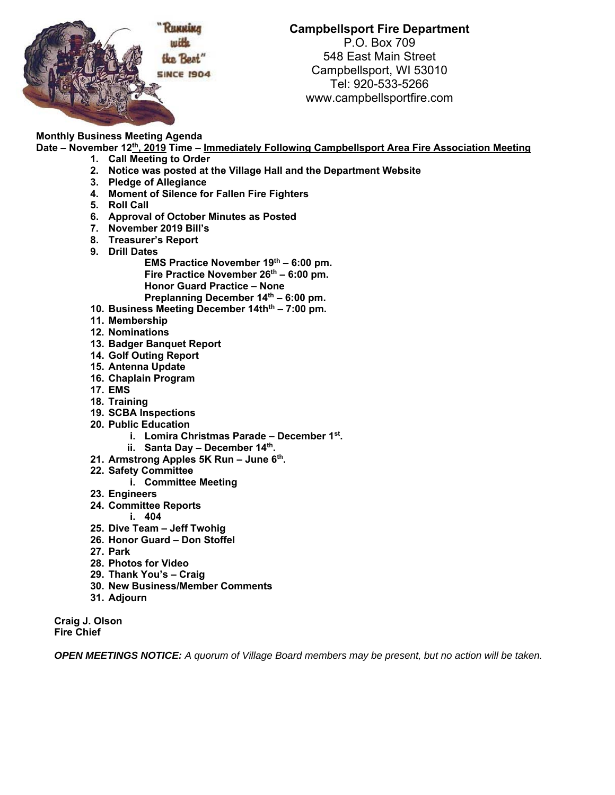

**Campbellsport Fire Department** 

P.O. Box 709 548 East Main Street Campbellsport, WI 53010 Tel: 920-533-5266 www.campbellsportfire.com

**Monthly Business Meeting Agenda** 

**Date – November 12th, 2019 Time – Immediately Following Campbellsport Area Fire Association Meeting** 

- **1. Call Meeting to Order**
- **2. Notice was posted at the Village Hall and the Department Website**
- **3. Pledge of Allegiance**
- **4. Moment of Silence for Fallen Fire Fighters**
- **5. Roll Call**
- **6. Approval of October Minutes as Posted**
- **7. November 2019 Bill's**
- **8. Treasurer's Report**
- **9. Drill Dates** 
	- EMS Practice November 19<sup>th</sup> 6:00 pm. Fire Practice November 26<sup>th</sup> – 6:00 pm. **Honor Guard Practice – None**  Preplanning December 14<sup>th</sup> - 6:00 pm.
- 10. Business Meeting December 14th<sup>th</sup> 7:00 pm.
- **11. Membership**
- **12. Nominations**
- **13. Badger Banquet Report**
- **14. Golf Outing Report**
- **15. Antenna Update**
- **16. Chaplain Program**
- **17. EMS**
- **18. Training**
- **19. SCBA Inspections**
- **20. Public Education** 
	- **i. Lomira Christmas Parade December 1st.**
	- **ii. Santa Day December 14th.**
- **21. Armstrong Apples 5K Run June 6th.**
- **22. Safety Committee** 
	- **i. Committee Meeting**
- **23. Engineers**
- **24. Committee Reports** 
	- **i. 404**
- **25. Dive Team Jeff Twohig**
- **26. Honor Guard Don Stoffel**
- **27. Park**
- **28. Photos for Video**
- **29. Thank You's Craig**
- **30. New Business/Member Comments**
- **31. Adjourn**

**Craig J. Olson Fire Chief** 

*OPEN MEETINGS NOTICE: A quorum of Village Board members may be present, but no action will be taken.*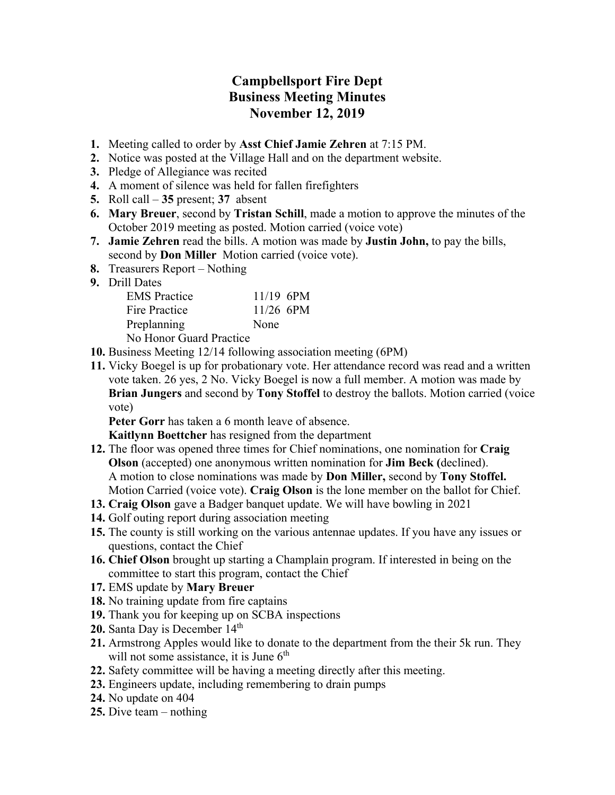## **Campbellsport Fire Dept Business Meeting Minutes November 12, 2019**

- **1.** Meeting called to order by **Asst Chief Jamie Zehren** at 7:15 PM.
- **2.** Notice was posted at the Village Hall and on the department website.
- **3.** Pledge of Allegiance was recited
- **4.** A moment of silence was held for fallen firefighters
- **5.** Roll call **35** present; **37** absent
- **6. Mary Breuer**, second by **Tristan Schill**, made a motion to approve the minutes of the October 2019 meeting as posted. Motion carried (voice vote)
- **7. Jamie Zehren** read the bills. A motion was made by **Justin John,** to pay the bills, second by **Don Miller** Motion carried (voice vote).
- **8.** Treasurers Report Nothing
- **9.** Drill Dates

| <b>EMS</b> Practice     | $11/19$ 6PM |  |
|-------------------------|-------------|--|
| Fire Practice           | $11/26$ 6PM |  |
| Preplanning             | None        |  |
| No Honor Guard Practice |             |  |

No Honor Guard Practice

- **10.** Business Meeting 12/14 following association meeting (6PM)
- **11.** Vicky Boegel is up for probationary vote. Her attendance record was read and a written vote taken. 26 yes, 2 No. Vicky Boegel is now a full member. A motion was made by **Brian Jungers** and second by **Tony Stoffel** to destroy the ballots. Motion carried (voice vote)

**Peter Gorr** has taken a 6 month leave of absence.

**Kaitlynn Boettcher** has resigned from the department

- **12.** The floor was opened three times for Chief nominations, one nomination for **Craig Olson** (accepted) one anonymous written nomination for **Jim Beck (**declined). A motion to close nominations was made by **Don Miller,** second by **Tony Stoffel.**  Motion Carried (voice vote). **Craig Olson** is the lone member on the ballot for Chief.
- **13. Craig Olson** gave a Badger banquet update. We will have bowling in 2021
- **14.** Golf outing report during association meeting
- **15.** The county is still working on the various antennae updates. If you have any issues or questions, contact the Chief
- **16. Chief Olson** brought up starting a Champlain program. If interested in being on the committee to start this program, contact the Chief
- **17.** EMS update by **Mary Breuer**
- **18.** No training update from fire captains
- **19.** Thank you for keeping up on SCBA inspections
- 20. Santa Day is December 14<sup>th</sup>
- **21.** Armstrong Apples would like to donate to the department from the their 5k run. They will not some assistance, it is June  $6<sup>th</sup>$
- **22.** Safety committee will be having a meeting directly after this meeting.
- **23.** Engineers update, including remembering to drain pumps
- **24.** No update on 404
- **25.** Dive team nothing